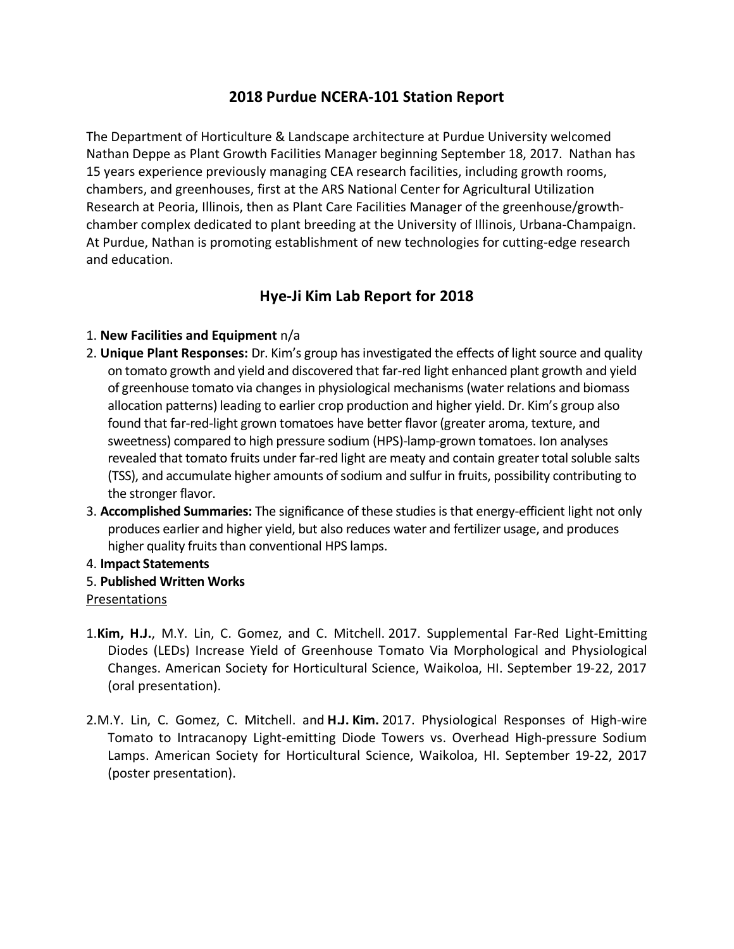## **2018 Purdue NCERA-101 Station Report**

The Department of Horticulture & Landscape architecture at Purdue University welcomed Nathan Deppe as Plant Growth Facilities Manager beginning September 18, 2017. Nathan has 15 years experience previously managing CEA research facilities, including growth rooms, chambers, and greenhouses, first at the ARS National Center for Agricultural Utilization Research at Peoria, Illinois, then as Plant Care Facilities Manager of the greenhouse/growthchamber complex dedicated to plant breeding at the University of Illinois, Urbana-Champaign. At Purdue, Nathan is promoting establishment of new technologies for cutting-edge research and education.

## **Hye-Ji Kim Lab Report for 2018**

#### 1. **New Facilities and Equipment** n/a

- 2. **Unique Plant Responses:** Dr. Kim's group has investigated the effects of light source and quality on tomato growth and yield and discovered that far-red light enhanced plant growth and yield of greenhouse tomato via changes in physiological mechanisms (water relations and biomass allocation patterns) leading to earlier crop production and higher yield. Dr. Kim's group also found that far-red-light grown tomatoes have better flavor (greater aroma, texture, and sweetness) compared to high pressure sodium (HPS)-lamp-grown tomatoes. Ion analyses revealed that tomato fruits under far-red light are meaty and contain greater total soluble salts (TSS), and accumulate higher amounts of sodium and sulfur in fruits, possibility contributing to the stronger flavor.
- 3. **Accomplished Summaries:** The significance of these studies is that energy-efficient light not only produces earlier and higher yield, but also reduces water and fertilizer usage, and produces higher quality fruits than conventional HPS lamps.
- 4. **Impact Statements**
- 5. **Published Written Works**

## Presentations

- 1.**Kim, H.J.**, M.Y. Lin, C. Gomez, and C. Mitchell. 2017. Supplemental Far-Red Light-Emitting Diodes (LEDs) Increase Yield of Greenhouse Tomato Via Morphological and Physiological Changes. American Society for Horticultural Science, Waikoloa, HI. September 19-22, 2017 (oral presentation).
- 2.M.Y. Lin, C. Gomez, C. Mitchell. and **H.J. Kim.** 2017. Physiological Responses of High-wire Tomato to Intracanopy Light-emitting Diode Towers vs. Overhead High-pressure Sodium Lamps. American Society for Horticultural Science, Waikoloa, HI. September 19-22, 2017 (poster presentation).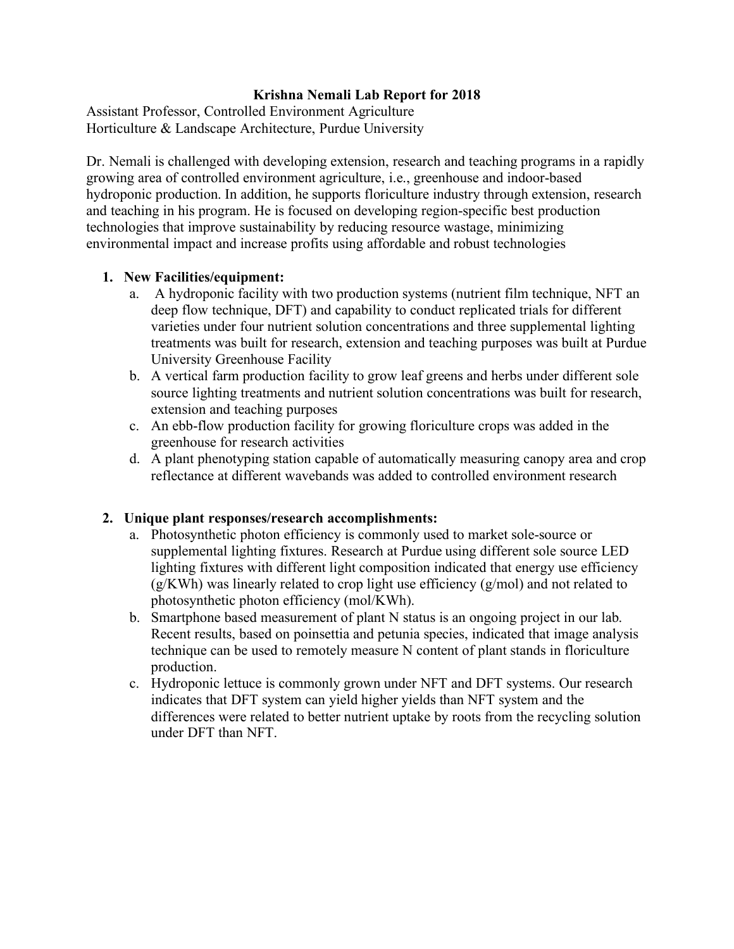## **Krishna Nemali Lab Report for 2018**

Assistant Professor, Controlled Environment Agriculture Horticulture & Landscape Architecture, Purdue University

Dr. Nemali is challenged with developing extension, research and teaching programs in a rapidly growing area of controlled environment agriculture, i.e., greenhouse and indoor-based hydroponic production. In addition, he supports floriculture industry through extension, research and teaching in his program. He is focused on developing region-specific best production technologies that improve sustainability by reducing resource wastage, minimizing environmental impact and increase profits using affordable and robust technologies

## **1. New Facilities/equipment:**

- a. A hydroponic facility with two production systems (nutrient film technique, NFT an deep flow technique, DFT) and capability to conduct replicated trials for different varieties under four nutrient solution concentrations and three supplemental lighting treatments was built for research, extension and teaching purposes was built at Purdue University Greenhouse Facility
- b. A vertical farm production facility to grow leaf greens and herbs under different sole source lighting treatments and nutrient solution concentrations was built for research, extension and teaching purposes
- c. An ebb-flow production facility for growing floriculture crops was added in the greenhouse for research activities
- d. A plant phenotyping station capable of automatically measuring canopy area and crop reflectance at different wavebands was added to controlled environment research

## **2. Unique plant responses/research accomplishments:**

- a. Photosynthetic photon efficiency is commonly used to market sole-source or supplemental lighting fixtures. Research at Purdue using different sole source LED lighting fixtures with different light composition indicated that energy use efficiency (g/KWh) was linearly related to crop light use efficiency (g/mol) and not related to photosynthetic photon efficiency (mol/KWh).
- b. Smartphone based measurement of plant N status is an ongoing project in our lab. Recent results, based on poinsettia and petunia species, indicated that image analysis technique can be used to remotely measure N content of plant stands in floriculture production.
- c. Hydroponic lettuce is commonly grown under NFT and DFT systems. Our research indicates that DFT system can yield higher yields than NFT system and the differences were related to better nutrient uptake by roots from the recycling solution under DFT than NFT.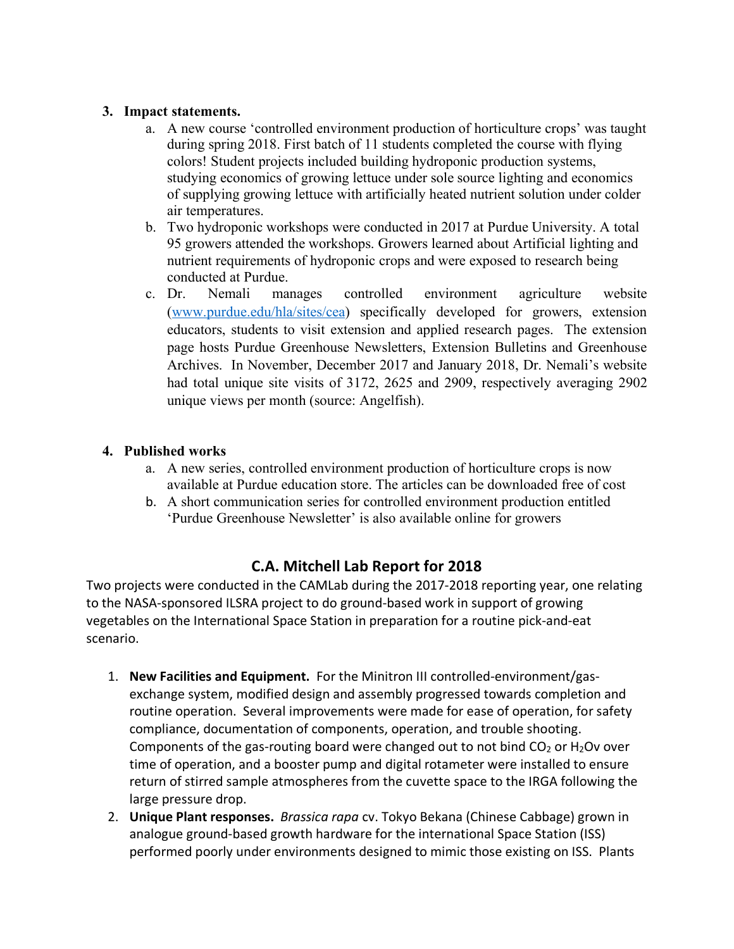## **3. Impact statements.**

- a. A new course 'controlled environment production of horticulture crops' was taught during spring 2018. First batch of 11 students completed the course with flying colors! Student projects included building hydroponic production systems, studying economics of growing lettuce under sole source lighting and economics of supplying growing lettuce with artificially heated nutrient solution under colder air temperatures.
- b. Two hydroponic workshops were conducted in 2017 at Purdue University. A total 95 growers attended the workshops. Growers learned about Artificial lighting and nutrient requirements of hydroponic crops and were exposed to research being conducted at Purdue.
- c. Dr. Nemali manages controlled environment agriculture website (www.purdue.edu/hla/sites/cea) specifically developed for growers, extension educators, students to visit extension and applied research pages. The extension page hosts Purdue Greenhouse Newsletters, Extension Bulletins and Greenhouse Archives. In November, December 2017 and January 2018, Dr. Nemali's website had total unique site visits of 3172, 2625 and 2909, respectively averaging 2902 unique views per month (source: Angelfish).

## **4. Published works**

- a. A new series, controlled environment production of horticulture crops is now available at Purdue education store. The articles can be downloaded free of cost
- b. A short communication series for controlled environment production entitled 'Purdue Greenhouse Newsletter' is also available online for growers

# **C.A. Mitchell Lab Report for 2018**

Two projects were conducted in the CAMLab during the 2017-2018 reporting year, one relating to the NASA-sponsored ILSRA project to do ground-based work in support of growing vegetables on the International Space Station in preparation for a routine pick-and-eat scenario.

- 1. **New Facilities and Equipment.** For the Minitron III controlled-environment/gasexchange system, modified design and assembly progressed towards completion and routine operation. Several improvements were made for ease of operation, for safety compliance, documentation of components, operation, and trouble shooting. Components of the gas-routing board were changed out to not bind  $CO<sub>2</sub>$  or H<sub>2</sub>Ov over time of operation, and a booster pump and digital rotameter were installed to ensure return of stirred sample atmospheres from the cuvette space to the IRGA following the large pressure drop.
- 2. **Unique Plant responses.** *Brassica rapa* cv. Tokyo Bekana (Chinese Cabbage) grown in analogue ground-based growth hardware for the international Space Station (ISS) performed poorly under environments designed to mimic those existing on ISS. Plants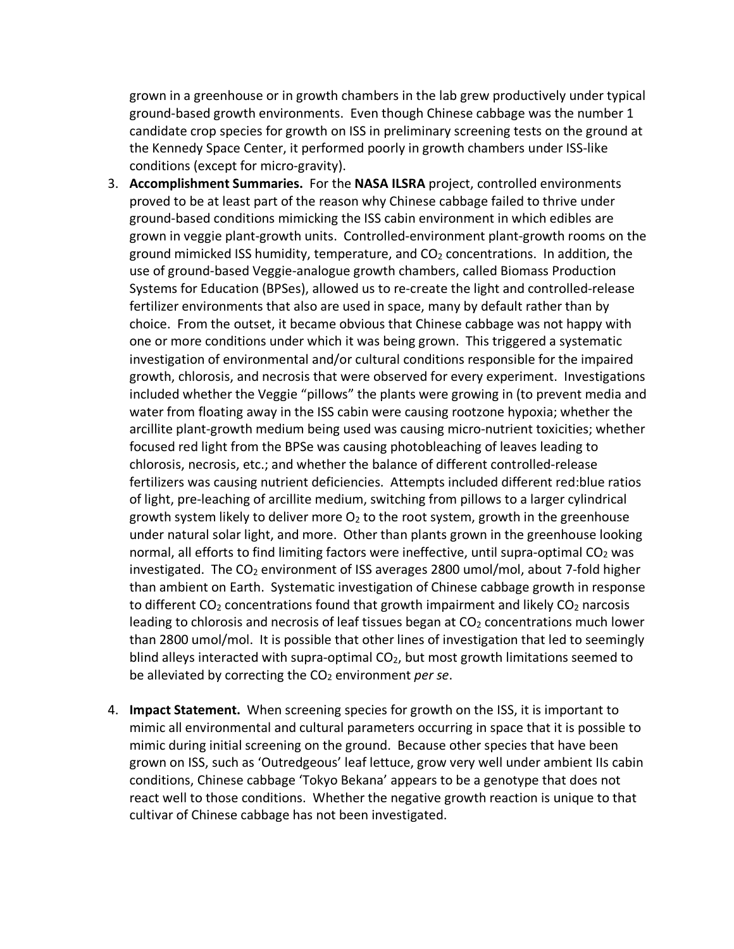grown in a greenhouse or in growth chambers in the lab grew productively under typical ground-based growth environments. Even though Chinese cabbage was the number 1 candidate crop species for growth on ISS in preliminary screening tests on the ground at the Kennedy Space Center, it performed poorly in growth chambers under ISS-like conditions (except for micro-gravity).

- 3. **Accomplishment Summaries.** For the **NASA ILSRA** project, controlled environments proved to be at least part of the reason why Chinese cabbage failed to thrive under ground-based conditions mimicking the ISS cabin environment in which edibles are grown in veggie plant-growth units. Controlled-environment plant-growth rooms on the ground mimicked ISS humidity, temperature, and  $CO<sub>2</sub>$  concentrations. In addition, the use of ground-based Veggie-analogue growth chambers, called Biomass Production Systems for Education (BPSes), allowed us to re-create the light and controlled-release fertilizer environments that also are used in space, many by default rather than by choice. From the outset, it became obvious that Chinese cabbage was not happy with one or more conditions under which it was being grown. This triggered a systematic investigation of environmental and/or cultural conditions responsible for the impaired growth, chlorosis, and necrosis that were observed for every experiment. Investigations included whether the Veggie "pillows" the plants were growing in (to prevent media and water from floating away in the ISS cabin were causing rootzone hypoxia; whether the arcillite plant-growth medium being used was causing micro-nutrient toxicities; whether focused red light from the BPSe was causing photobleaching of leaves leading to chlorosis, necrosis, etc.; and whether the balance of different controlled-release fertilizers was causing nutrient deficiencies. Attempts included different red:blue ratios of light, pre-leaching of arcillite medium, switching from pillows to a larger cylindrical growth system likely to deliver more  $O_2$  to the root system, growth in the greenhouse under natural solar light, and more. Other than plants grown in the greenhouse looking normal, all efforts to find limiting factors were ineffective, until supra-optimal  $CO<sub>2</sub>$  was investigated. The  $CO<sub>2</sub>$  environment of ISS averages 2800 umol/mol, about 7-fold higher than ambient on Earth. Systematic investigation of Chinese cabbage growth in response to different  $CO<sub>2</sub>$  concentrations found that growth impairment and likely  $CO<sub>2</sub>$  narcosis leading to chlorosis and necrosis of leaf tissues began at  $CO<sub>2</sub>$  concentrations much lower than 2800 umol/mol. It is possible that other lines of investigation that led to seemingly blind alleys interacted with supra-optimal  $CO<sub>2</sub>$ , but most growth limitations seemed to be alleviated by correcting the CO<sub>2</sub> environment *per se*.
- 4. **Impact Statement.** When screening species for growth on the ISS, it is important to mimic all environmental and cultural parameters occurring in space that it is possible to mimic during initial screening on the ground. Because other species that have been grown on ISS, such as 'Outredgeous' leaf lettuce, grow very well under ambient IIs cabin conditions, Chinese cabbage 'Tokyo Bekana' appears to be a genotype that does not react well to those conditions. Whether the negative growth reaction is unique to that cultivar of Chinese cabbage has not been investigated.